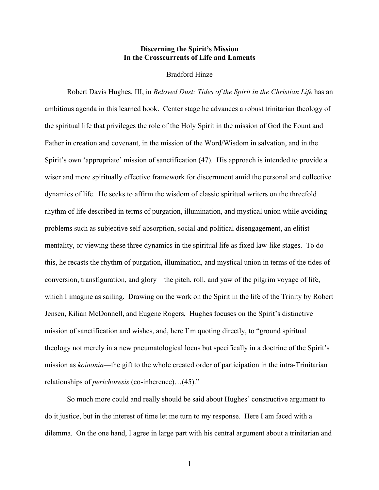## **Discerning the Spirit's Mission In the Crosscurrents of Life and Laments**

## Bradford Hinze

Robert Davis Hughes, III, in *Beloved Dust: Tides of the Spirit in the Christian Life* has an ambitious agenda in this learned book. Center stage he advances a robust trinitarian theology of the spiritual life that privileges the role of the Holy Spirit in the mission of God the Fount and Father in creation and covenant, in the mission of the Word/Wisdom in salvation, and in the Spirit's own 'appropriate' mission of sanctification (47). His approach is intended to provide a wiser and more spiritually effective framework for discernment amid the personal and collective dynamics of life. He seeks to affirm the wisdom of classic spiritual writers on the threefold rhythm of life described in terms of purgation, illumination, and mystical union while avoiding problems such as subjective self-absorption, social and political disengagement, an elitist mentality, or viewing these three dynamics in the spiritual life as fixed law-like stages. To do this, he recasts the rhythm of purgation, illumination, and mystical union in terms of the tides of conversion, transfiguration, and glory—the pitch, roll, and yaw of the pilgrim voyage of life, which I imagine as sailing. Drawing on the work on the Spirit in the life of the Trinity by Robert Jensen, Kilian McDonnell, and Eugene Rogers, Hughes focuses on the Spirit's distinctive mission of sanctification and wishes, and, here I'm quoting directly, to "ground spiritual theology not merely in a new pneumatological locus but specifically in a doctrine of the Spirit's mission as *koinonia*—the gift to the whole created order of participation in the intra-Trinitarian relationships of *perichoresis* (co-inherence)…(45)."

So much more could and really should be said about Hughes' constructive argument to do it justice, but in the interest of time let me turn to my response. Here I am faced with a dilemma. On the one hand, I agree in large part with his central argument about a trinitarian and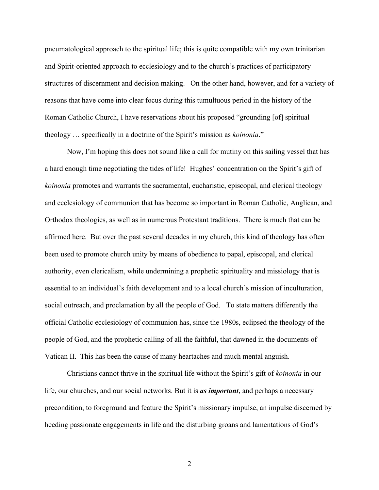pneumatological approach to the spiritual life; this is quite compatible with my own trinitarian and Spirit-oriented approach to ecclesiology and to the church's practices of participatory structures of discernment and decision making. On the other hand, however, and for a variety of reasons that have come into clear focus during this tumultuous period in the history of the Roman Catholic Church, I have reservations about his proposed "grounding [of] spiritual theology … specifically in a doctrine of the Spirit's mission as *koinonia*."

Now, I'm hoping this does not sound like a call for mutiny on this sailing vessel that has a hard enough time negotiating the tides of life! Hughes' concentration on the Spirit's gift of *koinonia* promotes and warrants the sacramental, eucharistic, episcopal, and clerical theology and ecclesiology of communion that has become so important in Roman Catholic, Anglican, and Orthodox theologies, as well as in numerous Protestant traditions. There is much that can be affirmed here. But over the past several decades in my church, this kind of theology has often been used to promote church unity by means of obedience to papal, episcopal, and clerical authority, even clericalism, while undermining a prophetic spirituality and missiology that is essential to an individual's faith development and to a local church's mission of inculturation, social outreach, and proclamation by all the people of God. To state matters differently the official Catholic ecclesiology of communion has, since the 1980s, eclipsed the theology of the people of God, and the prophetic calling of all the faithful, that dawned in the documents of Vatican II. This has been the cause of many heartaches and much mental anguish.

Christians cannot thrive in the spiritual life without the Spirit's gift of *koinonia* in our life, our churches, and our social networks. But it is *as important*, and perhaps a necessary precondition, to foreground and feature the Spirit's missionary impulse, an impulse discerned by heeding passionate engagements in life and the disturbing groans and lamentations of God's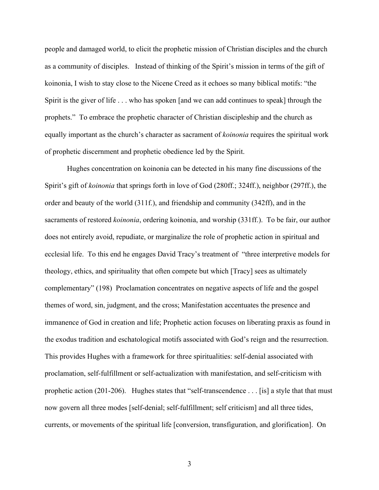people and damaged world, to elicit the prophetic mission of Christian disciples and the church as a community of disciples. Instead of thinking of the Spirit's mission in terms of the gift of koinonia, I wish to stay close to the Nicene Creed as it echoes so many biblical motifs: "the Spirit is the giver of life . . . who has spoken [and we can add continues to speak] through the prophets." To embrace the prophetic character of Christian discipleship and the church as equally important as the church's character as sacrament of *koinonia* requires the spiritual work of prophetic discernment and prophetic obedience led by the Spirit.

Hughes concentration on koinonia can be detected in his many fine discussions of the Spirit's gift of *koinonia* that springs forth in love of God (280ff.; 324ff.), neighbor (297ff.), the order and beauty of the world (311f.), and friendship and community (342ff), and in the sacraments of restored *koinonia*, ordering koinonia, and worship (331ff.). To be fair, our author does not entirely avoid, repudiate, or marginalize the role of prophetic action in spiritual and ecclesial life. To this end he engages David Tracy's treatment of "three interpretive models for theology, ethics, and spirituality that often compete but which [Tracy] sees as ultimately complementary" (198) Proclamation concentrates on negative aspects of life and the gospel themes of word, sin, judgment, and the cross; Manifestation accentuates the presence and immanence of God in creation and life; Prophetic action focuses on liberating praxis as found in the exodus tradition and eschatological motifs associated with God's reign and the resurrection. This provides Hughes with a framework for three spiritualities: self-denial associated with proclamation, self-fulfillment or self-actualization with manifestation, and self-criticism with prophetic action (201-206). Hughes states that "self-transcendence . . . [is] a style that that must now govern all three modes [self-denial; self-fulfillment; self criticism] and all three tides, currents, or movements of the spiritual life [conversion, transfiguration, and glorification]. On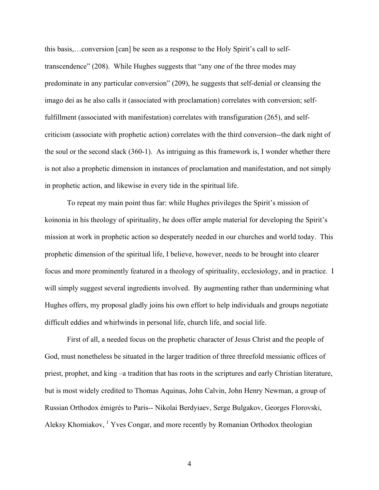this basis,…conversion [can] be seen as a response to the Holy Spirit's call to selftranscendence" (208). While Hughes suggests that "any one of the three modes may predominate in any particular conversion" (209), he suggests that self-denial or cleansing the imago dei as he also calls it (associated with proclamation) correlates with conversion; selffulfillment (associated with manifestation) correlates with transfiguration (265), and selfcriticism (associate with prophetic action) correlates with the third conversion--the dark night of the soul or the second slack (360-1). As intriguing as this framework is, I wonder whether there is not also a prophetic dimension in instances of proclamation and manifestation, and not simply in prophetic action, and likewise in every tide in the spiritual life.

To repeat my main point thus far: while Hughes privileges the Spirit's mission of koinonia in his theology of spirituality, he does offer ample material for developing the Spirit's mission at work in prophetic action so desperately needed in our churches and world today. This prophetic dimension of the spiritual life, I believe, however, needs to be brought into clearer focus and more prominently featured in a theology of spirituality, ecclesiology, and in practice. I will simply suggest several ingredients involved. By augmenting rather than undermining what Hughes offers, my proposal gladly joins his own effort to help individuals and groups negotiate difficult eddies and whirlwinds in personal life, church life, and social life.

First of all, a needed focus on the prophetic character of Jesus Christ and the people of God, must nonetheless be situated in the larger tradition of three threefold messianic offices of priest, prophet, and king –a tradition that has roots in the scriptures and early Christian literature, but is most widely credited to Thomas Aquinas, John Calvin, John Henry Newman, a group of Russian Orthodox émigrés to Paris-- Nikolai Berdyiaev, Serge Bulgakov, Georges Florovski, Aleksy Khomiakov, <sup>1</sup> Yves Congar, and more recently by Romanian Orthodox theologian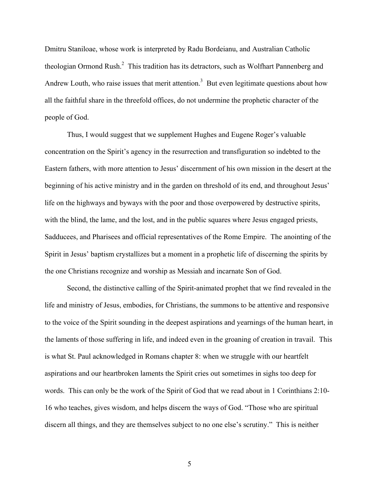Dmitru Staniloae, whose work is interpreted by Radu Bordeianu, and Australian Catholic theologian Ormond Rush.<sup>2</sup> This tradition has its detractors, such as Wolfhart Pannenberg and Andrew Louth, who raise issues that merit attention.<sup>3</sup> But even legitimate questions about how all the faithful share in the threefold offices, do not undermine the prophetic character of the people of God.

Thus, I would suggest that we supplement Hughes and Eugene Roger's valuable concentration on the Spirit's agency in the resurrection and transfiguration so indebted to the Eastern fathers, with more attention to Jesus' discernment of his own mission in the desert at the beginning of his active ministry and in the garden on threshold of its end, and throughout Jesus' life on the highways and byways with the poor and those overpowered by destructive spirits, with the blind, the lame, and the lost, and in the public squares where Jesus engaged priests, Sadducees, and Pharisees and official representatives of the Rome Empire. The anointing of the Spirit in Jesus' baptism crystallizes but a moment in a prophetic life of discerning the spirits by the one Christians recognize and worship as Messiah and incarnate Son of God.

Second, the distinctive calling of the Spirit-animated prophet that we find revealed in the life and ministry of Jesus, embodies, for Christians, the summons to be attentive and responsive to the voice of the Spirit sounding in the deepest aspirations and yearnings of the human heart, in the laments of those suffering in life, and indeed even in the groaning of creation in travail. This is what St. Paul acknowledged in Romans chapter 8: when we struggle with our heartfelt aspirations and our heartbroken laments the Spirit cries out sometimes in sighs too deep for words. This can only be the work of the Spirit of God that we read about in 1 Corinthians 2:10- 16 who teaches, gives wisdom, and helps discern the ways of God. "Those who are spiritual discern all things, and they are themselves subject to no one else's scrutiny." This is neither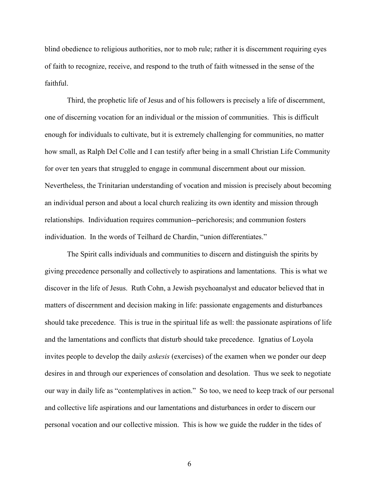blind obedience to religious authorities, nor to mob rule; rather it is discernment requiring eyes of faith to recognize, receive, and respond to the truth of faith witnessed in the sense of the faithful.

Third, the prophetic life of Jesus and of his followers is precisely a life of discernment, one of discerning vocation for an individual or the mission of communities. This is difficult enough for individuals to cultivate, but it is extremely challenging for communities, no matter how small, as Ralph Del Colle and I can testify after being in a small Christian Life Community for over ten years that struggled to engage in communal discernment about our mission. Nevertheless, the Trinitarian understanding of vocation and mission is precisely about becoming an individual person and about a local church realizing its own identity and mission through relationships. Individuation requires communion--perichoresis; and communion fosters individuation. In the words of Teilhard de Chardin, "union differentiates."

The Spirit calls individuals and communities to discern and distinguish the spirits by giving precedence personally and collectively to aspirations and lamentations. This is what we discover in the life of Jesus. Ruth Cohn, a Jewish psychoanalyst and educator believed that in matters of discernment and decision making in life: passionate engagements and disturbances should take precedence. This is true in the spiritual life as well: the passionate aspirations of life and the lamentations and conflicts that disturb should take precedence. Ignatius of Loyola invites people to develop the daily *askesis* (exercises) of the examen when we ponder our deep desires in and through our experiences of consolation and desolation. Thus we seek to negotiate our way in daily life as "contemplatives in action." So too, we need to keep track of our personal and collective life aspirations and our lamentations and disturbances in order to discern our personal vocation and our collective mission. This is how we guide the rudder in the tides of